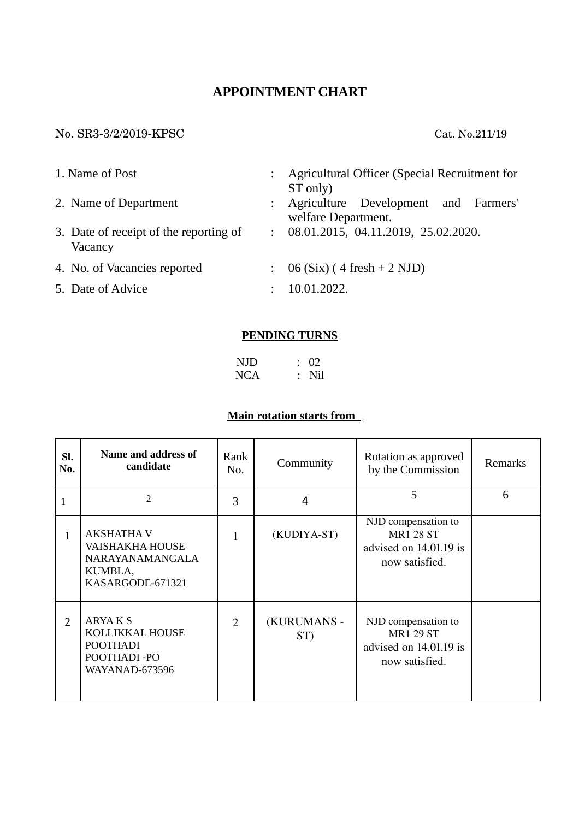# **APPOINTMENT CHART**

### No. SR33/2/2019KPSC Cat. No.211/19

| 1. Name of Post |                                                   |                           | Agricultural Officer (Special Recruitment for                             |  |  |
|-----------------|---------------------------------------------------|---------------------------|---------------------------------------------------------------------------|--|--|
|                 | 2. Name of Department                             |                           | ST only)<br>: Agriculture Development and Farmers'<br>welfare Department. |  |  |
|                 | 3. Date of receipt of the reporting of<br>Vacancy | $\mathbb{R}^{\mathbb{Z}}$ | 08.01.2015, 04.11.2019, 25.02.2020.                                       |  |  |
|                 | 4. No. of Vacancies reported                      |                           | $\therefore$ 06 (Six) (4 fresh + 2 NJD)                                   |  |  |
|                 | 5. Date of Advice                                 |                           | 10.01.2022.                                                               |  |  |

#### **PENDING TURNS**

| <b>NJD</b> | $\therefore$ 02 |
|------------|-----------------|
| <b>NCA</b> | $:$ Nil         |

## **Main rotation starts from** *...........*

| SI.<br>No.     | Name and address of<br>candidate                                                              | Rank<br>No. | Community          | Rotation as approved<br>by the Commission                                           | <b>Remarks</b> |
|----------------|-----------------------------------------------------------------------------------------------|-------------|--------------------|-------------------------------------------------------------------------------------|----------------|
| 1              | $\overline{2}$                                                                                | 3           | 4                  | 5                                                                                   | 6              |
| $\mathbf{1}$   | <b>AKSHATHA V</b><br><b>VAISHAKHA HOUSE</b><br>NARAYANAMANGALA<br>KUMBLA,<br>KASARGODE-671321 | 1           | (KUDIYA-ST)        | NJD compensation to<br><b>MR1 28 ST</b><br>advised on 14.01.19 is<br>now satisfied. |                |
| $\overline{2}$ | ARYAK <sub>S</sub><br>KOLLIKKAL HOUSE<br><b>POOTHADI</b><br>POOTHADI-PO<br>WAYANAD-673596     | 2           | (KURUMANS -<br>ST) | NJD compensation to<br><b>MR1 29 ST</b><br>advised on 14.01.19 is<br>now satisfied. |                |